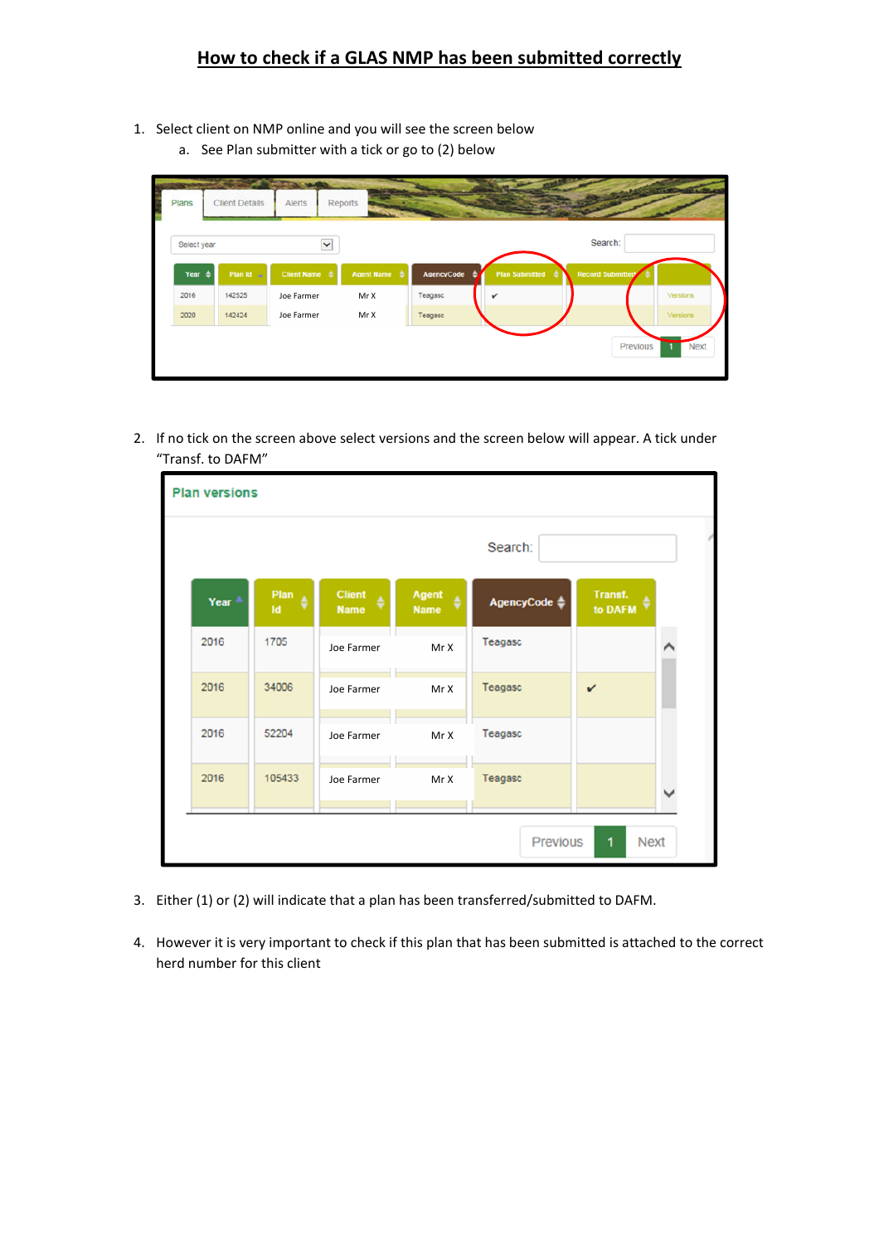## **How to check if a GLAS NMP has been submitted correctly**

- 1. Select client on NMP online and you will see the screen below
	- a. See Plan submitter with a tick or go to (2) below

| Select year       |                       | $\checkmark$                    |                   |            |                       | Search:                 |          |
|-------------------|-----------------------|---------------------------------|-------------------|------------|-----------------------|-------------------------|----------|
| Year $\triangleq$ | Plan Id $\rightarrow$ | <b>Client Name</b> $\triangleq$ | <b>Agent Name</b> | AgencyCode | <b>Plan Submitted</b> | <b>Record Submitted</b> |          |
| 2016              | 142525                | Joe Farmer                      | Mr X              | Teagasc    |                       |                         | Versions |
| 2020              | 142424                | Joe Farmer                      | Mr X              | Teagasc    |                       |                         | Versions |

2. If no tick on the screen above select versions and the screen below will appear. A tick under "Transf. to DAFM"

| <b>Plan versions</b> |                   |             |                                   |                           |                         |                    |  |
|----------------------|-------------------|-------------|-----------------------------------|---------------------------|-------------------------|--------------------|--|
|                      |                   |             | Search:                           |                           |                         |                    |  |
|                      | Year <sup>A</sup> | Plan<br>Id. | <b>Client</b><br>٥<br><b>Name</b> | Agent<br>é<br><b>Name</b> | AgencyCode $\triangleq$ | Transf.<br>to DAFM |  |
|                      | 2016              | 1705        | Joe Farmer                        | MrX                       | Teagasc                 |                    |  |
|                      | 2016              | 34006       | Joe Farmer                        | MrX                       | Teagasc                 | $\checkmark$       |  |
|                      | 2016              | 52204       | Joe Farmer                        | Mr X                      | Teagasc                 |                    |  |
|                      | 2016              | 105433      | Joe Farmer                        | Mr X                      | Teagasc                 |                    |  |
|                      |                   |             |                                   |                           | <b>Previous</b>         | 1<br><b>Next</b>   |  |

- 3. Either (1) or (2) will indicate that a plan has been transferred/submitted to DAFM.
- 4. However it is very important to check if this plan that has been submitted is attached to the correct herd number for this client